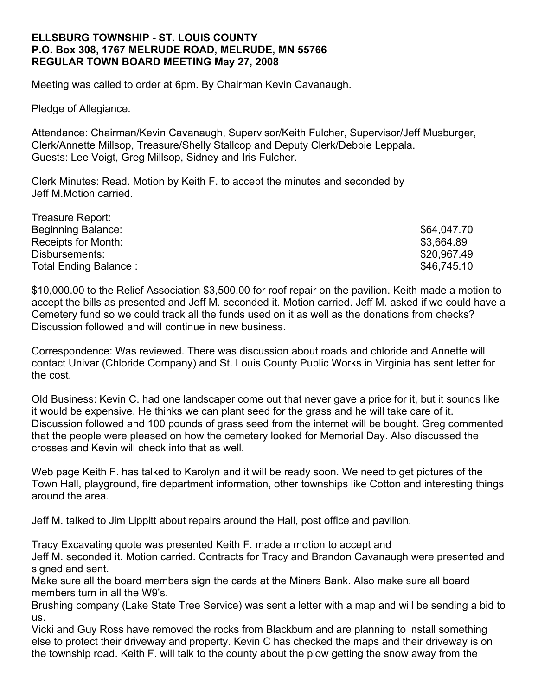## **ELLSBURG TOWNSHIP - ST. LOUIS COUNTY P.O. Box 308, 1767 MELRUDE ROAD, MELRUDE, MN 55766 REGULAR TOWN BOARD MEETING May 27, 2008**

Meeting was called to order at 6pm. By Chairman Kevin Cavanaugh.

Pledge of Allegiance.

Attendance: Chairman/Kevin Cavanaugh, Supervisor/Keith Fulcher, Supervisor/Jeff Musburger, Clerk/Annette Millsop, Treasure/Shelly Stallcop and Deputy Clerk/Debbie Leppala. Guests: Lee Voigt, Greg Millsop, Sidney and Iris Fulcher.

Clerk Minutes: Read. Motion by Keith F. to accept the minutes and seconded by Jeff M.Motion carried.

| Treasure Report:      |             |
|-----------------------|-------------|
| Beginning Balance:    | \$64,047.70 |
| Receipts for Month:   | \$3,664.89  |
| Disbursements:        | \$20,967.49 |
| Total Ending Balance: | \$46,745.10 |

\$10,000.00 to the Relief Association \$3,500.00 for roof repair on the pavilion. Keith made a motion to accept the bills as presented and Jeff M. seconded it. Motion carried. Jeff M. asked if we could have a Cemetery fund so we could track all the funds used on it as well as the donations from checks? Discussion followed and will continue in new business.

Correspondence: Was reviewed. There was discussion about roads and chloride and Annette will contact Univar (Chloride Company) and St. Louis County Public Works in Virginia has sent letter for the cost.

Old Business: Kevin C. had one landscaper come out that never gave a price for it, but it sounds like it would be expensive. He thinks we can plant seed for the grass and he will take care of it. Discussion followed and 100 pounds of grass seed from the internet will be bought. Greg commented that the people were pleased on how the cemetery looked for Memorial Day. Also discussed the crosses and Kevin will check into that as well.

Web page Keith F. has talked to Karolyn and it will be ready soon. We need to get pictures of the Town Hall, playground, fire department information, other townships like Cotton and interesting things around the area.

Jeff M. talked to Jim Lippitt about repairs around the Hall, post office and pavilion.

Tracy Excavating quote was presented Keith F. made a motion to accept and

Jeff M. seconded it. Motion carried. Contracts for Tracy and Brandon Cavanaugh were presented and signed and sent.

Make sure all the board members sign the cards at the Miners Bank. Also make sure all board members turn in all the W9's.

Brushing company (Lake State Tree Service) was sent a letter with a map and will be sending a bid to us.

Vicki and Guy Ross have removed the rocks from Blackburn and are planning to install something else to protect their driveway and property. Kevin C has checked the maps and their driveway is on the township road. Keith F. will talk to the county about the plow getting the snow away from the